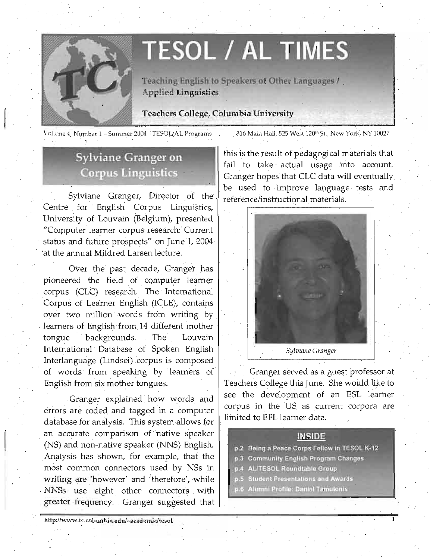

I

# **TESOL / AL TIMES**

Teaching English **to** Speakers **of Other** Languages I , Applied Linguistics

Teachers College, Columbia University

Volume 4, Number 1 - Summer 2004 'TESOL/AL Programs

316 Main Hall, 525 West 120th St., New York, NY 10027

# **Sylviane Granger on Corpus Linguistics**

Sylviane Granger, Director of the Centre for English Corpus Linguistics, University of Louvain (Belgium); presented "Computer learner corpus research: Current status and future prospects" on June 1, 2004 'at the annual Mildred Larsen lecture.

Over the past decade, Granger has pioneered the field of computer learner corpus (CLC) research. The International Corpus of Leamer English (JCLE), contains ' over two million words from writing by . learners of English from 14 different mother tongue backgrounds. The Louvain International Database of Spoken English Interlanguage (Lindsei) corpus is composed of words from speaking by learners of English from six mother tongues.

Granger explained how words and errors are coded and tagged in a computer database for analysis. This system allows for an accurate comparison of 'native speaker (NS) and non-native speaker (NNS) English. Analysis has shown, for example, that the most common connectors used by NSs in writing are 'however' and 'therefore', while NNSs use eight other connectors with ,greater frequency, Granger suggested that

**hUp:llwww.lc.columbia.eduJ- academjc/lesol** 

this is the result of pedagogical materials that fail to take actual usage into account. Granger hopes that CLC data will eventually be used to improve language tests and reference/instructional materials.



Granger served as a guest professor at Teachers College this June. She would like to see the development of an ESL learner corpus in the US as current corpora are limited toEFL learner data.

### **INSIDE**

1

- p.2 Being a Peace Corps Fellow in TESOL K-12
- p.3 Community English Program Changes
- p.4 ALITESOL Roundtable Group
- p.5 Student Presentations and Awards<br>p.6 Alumni Profile: Daniel Tamulonis
-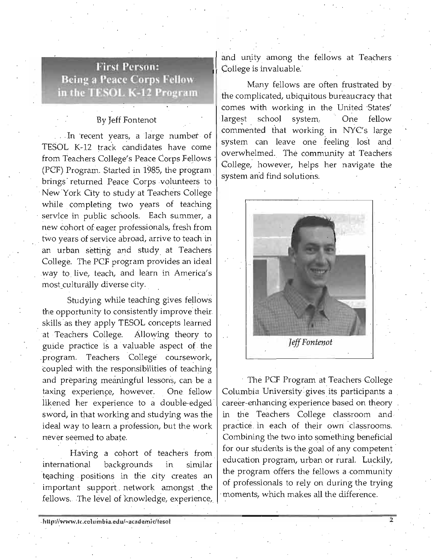## **First Person: Being a Peace Corps Fellow** in the TESOL K-12 Program

### By Jeff Fontenot

In recent years, a large number of TESOL K-12 track candidates have come from Teachers College's Peace Corps Fellows (PCF) Program. Started in 1985, the program brings' returned Peace Corps volunteers to New York City to study at Teachers College while completing two years of teaching service in public schools. Each summer, a new cohort of eager professionals, fresh from two years of service abroad, arrive to teach in an urban setting and study at Teachers College. The PCF program provides an ideal ,way to live, teach, and learn in America's most\_culturally diverse city.

Studying while teaching gives fellows the opportunity to consistently improve their . skills as they apply TESOL concepts learned at Teachers College. Allowing theory to guide practice is a valuable aspect of the program. Teachers College coursework, coupled with the responsibilities of teaching and preparing meaningful lessons, can be a taxing experience, however. One fellow likened her experience to a double-edged sword, in that working and studying was the ideal way to learn a profession, but the work never seemed to abate.

Having a cohort of teachers from international backgrounds in similar teaching positions in the city creates an important support.. network amongst the fellows. The level of knowledge, experience, and unity among the fellows at Teachers College is invaluable.

Many fellows are often frustrated by , the complicated, ubiquitous bureavcracy that comes with working in the United 'States' largest school system. One fellow commented that working in NYC's large system can leave one feeling lost and overwhelmed. The community at Teachers College, however, helps her navigate the system and find solutions.



The PCF Program at Teachers College Columbia University' gives its participants a career-enhancing experience based on theory in the Teachers College classroom and practice in each of their own classrooms. Combining the two into something beneficial for our students is the goal of any competent education program, urban or rural. Luckily, the program offers the fellows a community of professionals to rely on during the trying moments, which makes all the difference.

.

2

.http://www.te.columbia.edu/~academie/fesol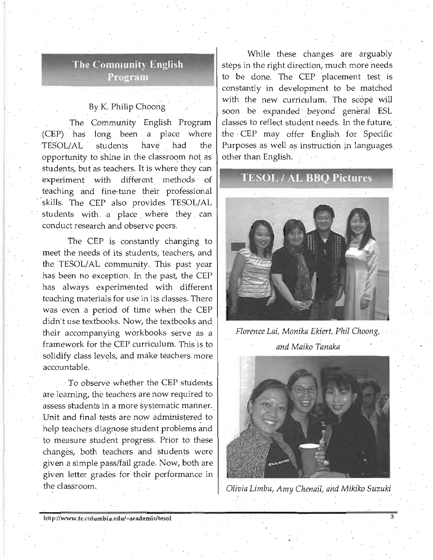### **The Community English** Program

### By K. Philip Choong

The Community English Program (CEP) has long been a place where TE50L/AL students have had the opportunity to shine in the classroom not as students, but as teachers. It is where they can experiment with different methods of teaching and fine-tune their professional skills. The CEP also provides TESOL/AL students with a place where they can conduct research and observe peers.

The CEP is constantly changing to meet the needs of its students, teachers, and the TESOL/AL community. This past year has been ho exception. In the past, the CEP has always experimented with different teaching materials for use in its classes. There was even a period of time when the CEP didn't use textbooks. Now, the textbooks and their accompanying workbooks serve as a framework for the CEP curriculum; This is to solidify class levels, and make teachers more accountable.

To observe whether the CEP students are learning, the teachers are now required to assess students in a more systematic manner. Unit and finai tests are now administered to help teachers diagnose student problems and to measure student progress. Prior to these changes, both teachers and 'students were given a simple pass/fail grade. Now, both are given letter grades for their performance in the classroom.

While these changes are arguably steps in the right direction, much more needs to be done. The CEP placement test is constantly in development to be matched with the new curriculum. The scope will soon be expanded beyond general ESL classes to reflect student needs. In the future, the CEP may offer English for Specific Purposes as well as instruction in languages other than English.

### **TESOL/AL BBO Pictures**



*Florence Lai, Monika Ekiert, Phil Choong, and Maiko Tanaka* 



*Olivia Limbu, Amy Chenail, and Mikiko Suzuki*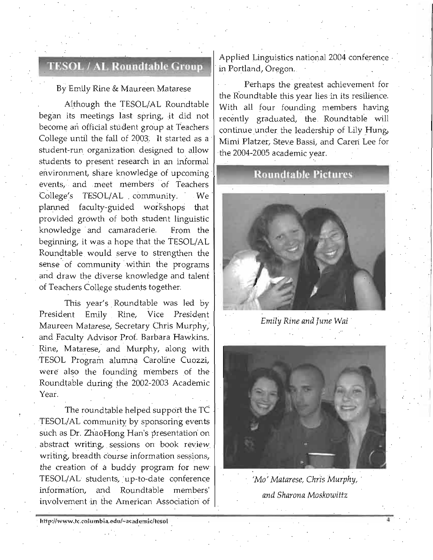# **TESOL / AL Roundtable Group**

### By Emily Rine & Maureen Matarese

Although the TESOL/AL Roundtable ' began its meetings last spring, it did not become an official student group at Teachers College until the fall of 2003. It started as a student-run organization designed to allow students to present research in an informal environment, share knowledge of upcoming **Roundtable Pictures** events, and meet members of Teachers College's TESOL/AL community. We planned faculty-guided workshops that provided growth of both student linguistic knowledge and camaraderie. From the beginning, it was a hope that the TESOL/AL Roundtable would serve to strengthen the sense of community within the programs and draw the diverse knowledge and talent of Teachers College students together.

This year's Roundtable was led by President Emily Rine, Vice President Maureen Matarese, Secretary Chris Murphy, and Faculty Advisor Prof. Barbara Hawkins. Rine, Matarese, and Murphy, along with TESOL Program alumna Caroline Cuozzi, were also the founding members of the Roundtable during the 2002-2003 Academic Year.

The roundtable helped support the TC TESOL/AL community by sponsoring events such as Dr. ZhaoHong Han's presentation on abstract writing, sessions on book review writing, breadth course information sessions, the creation of a buddy program for new' TESOL/AL' students, up-to-date conference informati'on, and Roundtable members' involvement in the American Association of

Applied Linguistics national 2004 conference in Portland, Oregon,

Perhaps the greatest achievement for the Roundtable this year lies in its resilience, With all four founding members having recently graduated, the Roundtable will continue under the leadership of Lily Hung, Mimi Platzer, Steve Bassi, and Careri Lee for the 2004-2005 academic year.



*Emily Rine and June* Wai '



*'Mo'Matarese, Chris Murphy, ' and Sharon a Moskowittz* 

4

http://www.tc.columbia.edu/~academic/tesol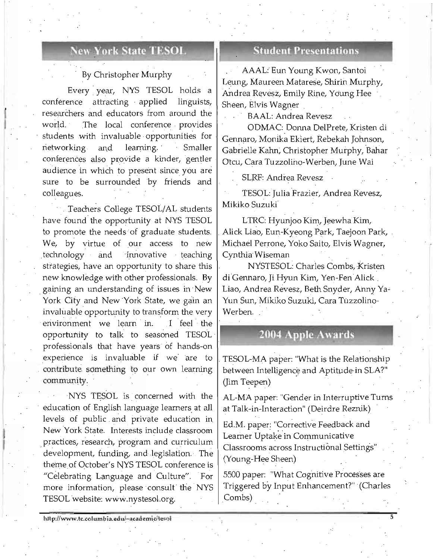### **New York State TESOL**

### By Christopher Murphy

Every year, NYS TESOL holds a conference attracting · applied linguists, researchers and educators from around the world. The local conference provides students with invaluable opportunities for networking and learning. Smaller conferences also provide a kinder, gentler audience in which to present since you are sure to be surrounded by friends and colleagues.

I İ.

I I

. Teachers College TESOL/AL students have found the opportunity at NYS TESOL to promote the needs of graduate students. We, by virtue of our access to new technology and innovative teaching strategies, have an opportunity to share this new knowledge with other professionals. By gaining an understanding of issues in · New York City and New York State, we gain an invaluable opportunity to transform the very environment we learn in. I feel the opportunity to talk to seasoned TESOL · professionals that have years of hands-on experience is invaluable if we are to . contribute. something to our own learning community:

NYS TESOL is concerned with the education of English language learners at all levels of public and private education in New York State. Interests include classroom . practices, research, program and curriculum development, funding, and legislation. The theme of October's NYS TESOL conference is "Celebrating Language and Culture". For more information, please consult the NYS TESOL website: www.nystesol.org.

### **Student Presentations**

AAAL: Eun Young Kwon, Santoi Leung, Maureen Matarese, Shirin Murphy, Andrea Revesz, Emily Rine, Young Hee Sheen, Elvis Wagner

BAAL: Andrea Revesz

ODMAC: Donna DelPrete, Kristen di Gennaro, Monika Ekiert, Rebekah Johnson, Gabrielle Kahn, Christopher Murphy, Bahar Otcu, Cara Tuzzolirio-Werben, June Wai

SLRF: Andrea Revesz

TESOL: Julia Frazier, Andrea Revesz, Mikiko Suzuki

LTRC: Hyunjoo Kim, Jeewha Kim, Alick Liao, Eun-Kyeong Park, Taejoon Park, . Michael Perrone, Yoko Saito, Elvis Wagner, Cynthia Wiseman .

NYSTESOL: Charles Combs, Kristen di Gennaro, Ji Hyun Kim, Yen-Fen Alick Liao, Andrea Revesz, Beth Snyder, Anny Ya-Yun Sun, Mikiko Suzuki, Cara Tuzzolino-Werben.

### **2004 Apple Awards**

TESOL-MA paper: "What is the Relationship between Intelligence and Aptitude in SLA?" (Jim Teepen) .

AL-MA paper: "Gender in Interruptive Turns at Talk-in-Interaction" (Deirdre Reznik)

Ed.M. paper: "Corrective Feedback and Learner Uptake in Communicative Classrooms across Instructional Settings" (Young-Hee Sheen)

5500 paper: "What Cognitive Processes are Triggered by Input Enhancement?" (Charles Combs)

5

http://www.tc.columbia.edu/~academic/tesol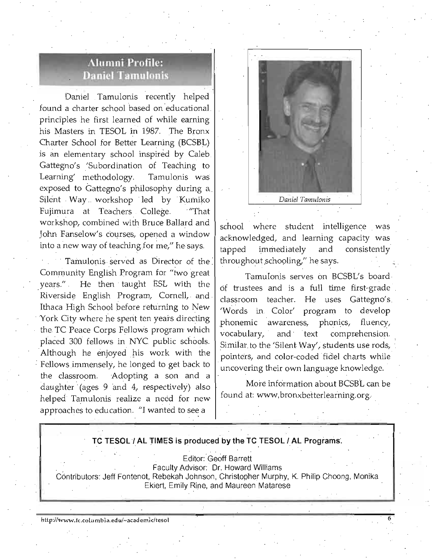# **Alumni Profile: Daniel Tamulonis**

Daniel Tamulonis recently helped found a charter school based on educational principles he first learned of while earning his Masters in TESOL in 1987. The Bronx Charter School for Better Learning (BCSBL) is an elementary school inspired by Caleb. Gattegno's 'Subordination of Teaching to Learning' methodology. Tamulonis was exposed to Gattegno's philosophy during a Silent Way workshop led by Kumiko Fujimura at Teachers College. "That workshop, combined with Bruce Ballard and John Fanselow's courses, opened a window into a new way of teaching for me," he says.

Tamulonis served as Director of the . Community English Program for "two great years." He then taught ESL with the Riverside English Program, Cornell, and Ithaca High School before returning to New York City where he spent ten years directing the TC Peace Corps Fellows program which placed 300 fellows in NYC public schools. Although he enjoyed his work with the Fellows immensely, he longed to get back to the classroom. Adopting a son and a daughter (ages 9 and 4, respectively) also helped Tamulonis realize a need for new approaches to education. "I wanted to see a



school where student intelligence was acknowledged, and learning capacity was tapped immediately and consistently throughout schooling," he says.

Tamulonis serves on BCSBL's board of trustees and is a full time first-grade classroom teacher. He uses Gattegno's. 'Words in. Color' program to develop phonemic awareness, phonics, fluency, vocabulary, and ' text comprehension. Similar to the 'Silent Way', students use rods, pointers, and color-coded fidel charts while uncovering their own language knowledge.

More information about BCSBL can be found at: www.bronxbetterlearning.org.

# **TC TESOL / AL TIMES is produced by the TC TESOL / AL Programs.**<br>
Editor: Geoff Barrett<br>
Faculty Advisor: Dr. Howard Williams<br>
'' Faculty Advisor: Dr. Howard Williams<br>
'' Faculty Advisor: Dr. Howard Williams<br>
'' Philip Cho Editor: Geoff Barrett Contributors: Jeff Fontenot, Rebekah Johnson, Christopher Murphy, K. Philip Choong, Monika Ekiert, **Emily** Rine, and Maureen Matarese

http://www.fc.columbia.edu/~academic/tesol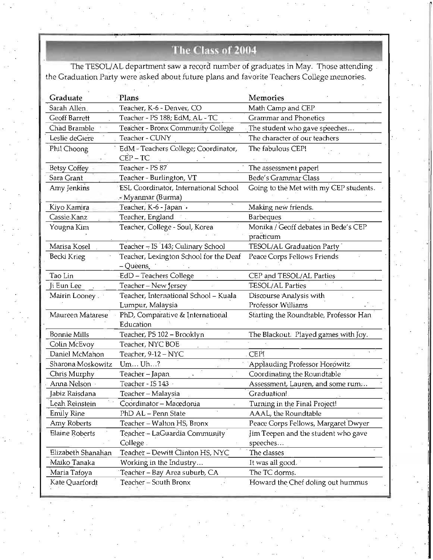# The Class of 2004

The TESOL/AL department saw a record number of graduates in May. Those attending the Graduation Party were asked about future plans and favorite Teachers College memories.

| Graduate            | Plans                                         | Memories                               |
|---------------------|-----------------------------------------------|----------------------------------------|
| Sarah Allen.        | Teacher, K-6 - Denver, CO                     | Math Camp and CEP                      |
| Geoff Barrett       | Teacher - PS 188; EdM, AL - TC                | Grammar and Phonetics                  |
| Chad Bramble        | Teacher - Bronx Community College             | The student who gave speeches          |
| Leslie deGiere      | Teacher - CUNY                                | The character of our teachers          |
| Phil Choong         | EdM - Teachers College; Coordinator,          | The fabulous CEP!                      |
|                     | $CEP - TC$                                    |                                        |
| Betsy Coffey        | Teacher - PS 87                               | The assessment paper!                  |
| Sara Grant          | Teacher - Burlington, VT                      | Bede's Grammar Class                   |
| Amy Jenkins         | ESL Coordinator, International School         | Going to the Met with my CEP students. |
|                     | - Myanmar (Burma)                             |                                        |
| Kiyo Kamira         | Teacher, K-6 - Japan .                        | Making new friends.                    |
| Cassie Kanz         | Teacher, England                              | <b>Barbeques</b>                       |
| Yougna Kim          | Teacher, College - Soul, Korea                | Monika / Geoff debates in Bede's CEP   |
|                     |                                               | practicum                              |
| Marisa Kosel        | Teacher - IS '143; Culinary School            | TESOL/AL Graduation Party              |
| Becki Krieg         | Teacher, Lexington School for the Deaf        | Peace Corps Fellows Friends            |
|                     | – Queens.                                     |                                        |
| Tao Lin             | <b>EdD</b> - Teachers College                 | CEP and TESOL/AL Parties               |
| Ji Eun Lee          | Teacher - New Jersey                          | TESOL/AL Parties                       |
| Mairin Looney.      | Teacher, International School - Kuala         | Discourse Analysis with                |
|                     | Lumpur, Malaysia                              | Professor Williams                     |
| Maureen Matarese    | PhD, Comparative & International<br>Education | Starting the Roundtable, Professor Han |
|                     |                                               |                                        |
| <b>Bonnie Mills</b> | Teacher, PS 102 - Brooklyn                    | The Blackout. Played games with Joy.   |
| Colin McEvoy        | Teacher, NYC BOE                              |                                        |
| Daniel McMahon      | Teacher, 9-12 - NYC                           | CEP!                                   |
| Sharona Moskowitz   | Um Uh?                                        | <b>Applauding Professor Horowitz</b>   |
| Chris Murphy        | Teacher - Japan                               | Coordinating the Roundtable            |
| Anna Nelson         | Teacher - IS 143                              | Assessment, Lauren, and some rum       |
| Jabiz Raisdana      | Teacher - Malaysia                            | Graduation!                            |
| Leah Reinstein      | Coordinator - Macedonia                       | Turning in the Final Project!          |
| Emily Rine          | PhD AL - Penn State                           | AAAL, the Roundtable                   |
| Amy Roberts         | Teacher - Walton HS, Bronx                    | Peace Corps Fellows, Margaret Dwyer    |
| Elaine Roberts      | Teacher - LaGuardia Community                 | Jim Teepen and the student who gave    |
|                     | College.                                      | speeches                               |
| Elizabeth Shanahan  | Teacher - Dewitt Clinton HS, NYC              | The classes                            |
| Maiko Tanaka        | Working in the Industry                       | It was all good.                       |
| Maria Tafoya        | Teacher - Bay Area suburb, CA                 | The TC dorms.                          |
| Kate Quarfordt      | Teacher – South Bronx                         | Howard the Chef doling out hummus      |